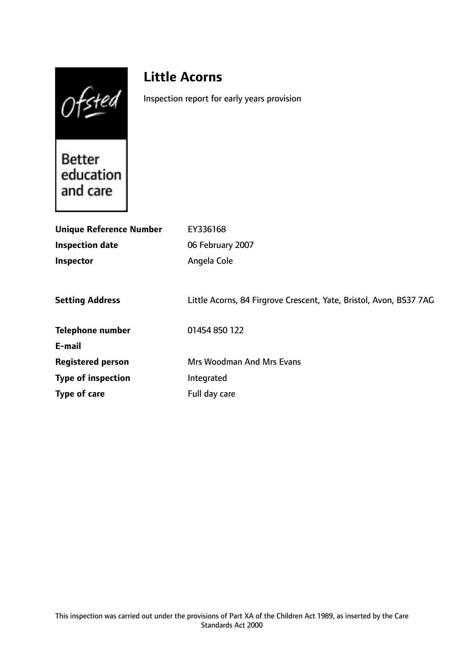Ofsted

# **Little Acorns**

Inspection report for early years provision

Better<br>education and care

| <b>Unique Reference Number</b> | EY336168                                                           |
|--------------------------------|--------------------------------------------------------------------|
| <b>Inspection date</b>         | 06 February 2007                                                   |
| Inspector                      | Angela Cole                                                        |
|                                |                                                                    |
| <b>Setting Address</b>         | Little Acorns, 84 Firgrove Crescent, Yate, Bristol, Avon, BS37 7AG |
| <b>Telephone number</b>        | 01454 850 122                                                      |
| E-mail                         |                                                                    |
| <b>Registered person</b>       | <b>Mrs Woodman And Mrs Evans</b>                                   |
| <b>Type of inspection</b>      | Integrated                                                         |
| Type of care                   | Full day care                                                      |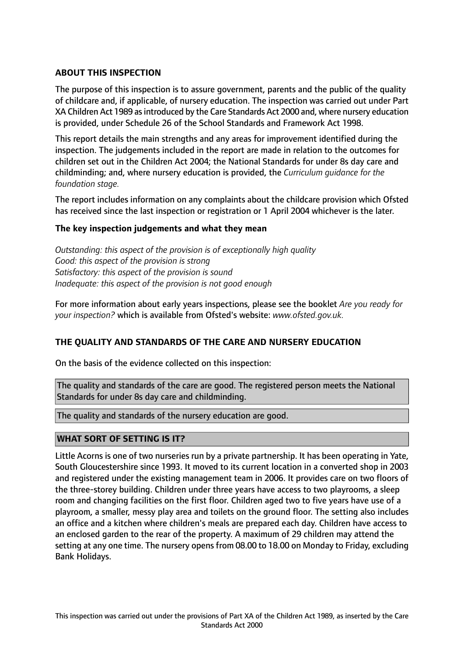## **ABOUT THIS INSPECTION**

The purpose of this inspection is to assure government, parents and the public of the quality of childcare and, if applicable, of nursery education. The inspection was carried out under Part XA Children Act 1989 asintroduced by the Care Standards Act 2000 and, where nursery education is provided, under Schedule 26 of the School Standards and Framework Act 1998.

This report details the main strengths and any areas for improvement identified during the inspection. The judgements included in the report are made in relation to the outcomes for children set out in the Children Act 2004; the National Standards for under 8s day care and childminding; and, where nursery education is provided, the *Curriculum guidance for the foundation stage.*

The report includes information on any complaints about the childcare provision which Ofsted has received since the last inspection or registration or 1 April 2004 whichever is the later.

## **The key inspection judgements and what they mean**

*Outstanding: this aspect of the provision is of exceptionally high quality Good: this aspect of the provision is strong Satisfactory: this aspect of the provision is sound Inadequate: this aspect of the provision is not good enough*

For more information about early years inspections, please see the booklet *Are you ready for your inspection?* which is available from Ofsted's website: *www.ofsted.gov.uk.*

## **THE QUALITY AND STANDARDS OF THE CARE AND NURSERY EDUCATION**

On the basis of the evidence collected on this inspection:

The quality and standards of the care are good. The registered person meets the National Standards for under 8s day care and childminding.

The quality and standards of the nursery education are good.

## **WHAT SORT OF SETTING IS IT?**

Little Acorns is one of two nurseries run by a private partnership. It has been operating in Yate, South Gloucestershire since 1993. It moved to its current location in a converted shop in 2003 and registered under the existing management team in 2006. It provides care on two floors of the three-storey building. Children under three years have access to two playrooms, a sleep room and changing facilities on the first floor. Children aged two to five years have use of a playroom, a smaller, messy play area and toilets on the ground floor. The setting also includes an office and a kitchen where children's meals are prepared each day. Children have access to an enclosed garden to the rear of the property. A maximum of 29 children may attend the setting at any one time. The nursery opens from 08.00 to 18.00 on Monday to Friday, excluding Bank Holidays.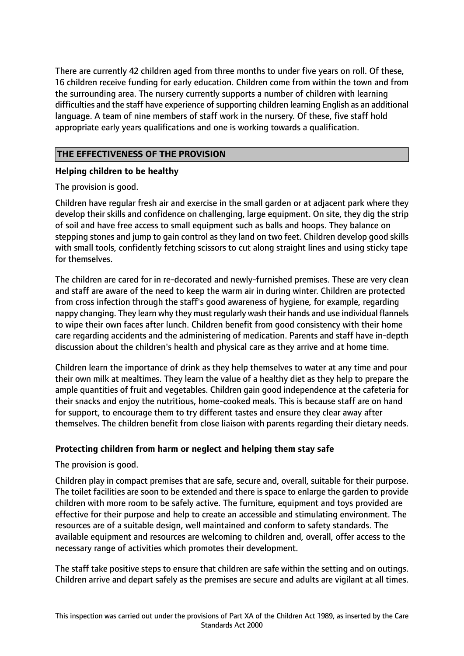There are currently 42 children aged from three months to under five years on roll. Of these, 16 children receive funding for early education. Children come from within the town and from the surrounding area. The nursery currently supports a number of children with learning difficulties and the staff have experience of supporting children learning English as an additional language. A team of nine members of staff work in the nursery. Of these, five staff hold appropriate early years qualifications and one is working towards a qualification.

# **THE EFFECTIVENESS OF THE PROVISION**

# **Helping children to be healthy**

The provision is good.

Children have regular fresh air and exercise in the small garden or at adjacent park where they develop their skills and confidence on challenging, large equipment. On site, they dig the strip of soil and have free access to small equipment such as balls and hoops. They balance on stepping stones and jump to gain control as they land on two feet. Children develop good skills with small tools, confidently fetching scissors to cut along straight lines and using sticky tape for themselves.

The children are cared for in re-decorated and newly-furnished premises. These are very clean and staff are aware of the need to keep the warm air in during winter. Children are protected from cross infection through the staff's good awareness of hygiene, for example, regarding nappy changing. They learn why they must regularly wash their hands and use individual flannels to wipe their own faces after lunch. Children benefit from good consistency with their home care regarding accidents and the administering of medication. Parents and staff have in-depth discussion about the children's health and physical care as they arrive and at home time.

Children learn the importance of drink as they help themselves to water at any time and pour their own milk at mealtimes. They learn the value of a healthy diet as they help to prepare the ample quantities of fruit and vegetables. Children gain good independence at the cafeteria for their snacks and enjoy the nutritious, home-cooked meals. This is because staff are on hand for support, to encourage them to try different tastes and ensure they clear away after themselves. The children benefit from close liaison with parents regarding their dietary needs.

# **Protecting children from harm or neglect and helping them stay safe**

The provision is good.

Children play in compact premises that are safe, secure and, overall, suitable for their purpose. The toilet facilities are soon to be extended and there is space to enlarge the garden to provide children with more room to be safely active. The furniture, equipment and toys provided are effective for their purpose and help to create an accessible and stimulating environment. The resources are of a suitable design, well maintained and conform to safety standards. The available equipment and resources are welcoming to children and, overall, offer access to the necessary range of activities which promotes their development.

The staff take positive steps to ensure that children are safe within the setting and on outings. Children arrive and depart safely as the premises are secure and adults are vigilant at all times.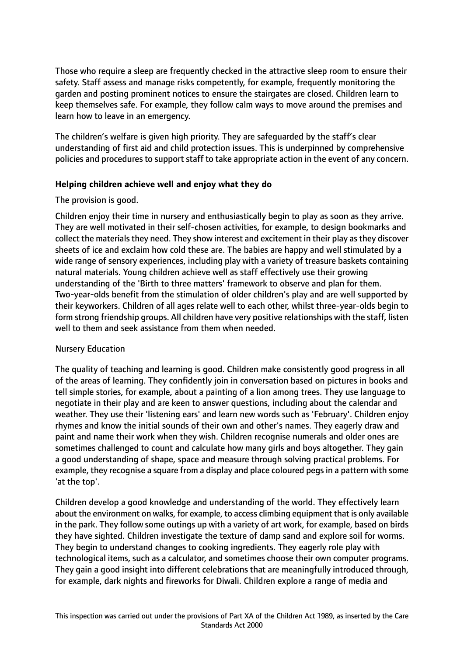Those who require a sleep are frequently checked in the attractive sleep room to ensure their safety. Staff assess and manage risks competently, for example, frequently monitoring the garden and posting prominent notices to ensure the stairgates are closed. Children learn to keep themselves safe. For example, they follow calm ways to move around the premises and learn how to leave in an emergency.

The children's welfare is given high priority. They are safeguarded by the staff's clear understanding of first aid and child protection issues. This is underpinned by comprehensive policies and procedures to support staff to take appropriate action in the event of any concern.

## **Helping children achieve well and enjoy what they do**

#### The provision is good.

Children enjoy their time in nursery and enthusiastically begin to play as soon as they arrive. They are well motivated in their self-chosen activities, for example, to design bookmarks and collect the materials they need. They show interest and excitement in their play as they discover sheets of ice and exclaim how cold these are. The babies are happy and well stimulated by a wide range of sensory experiences, including play with a variety of treasure baskets containing natural materials. Young children achieve well as staff effectively use their growing understanding of the 'Birth to three matters' framework to observe and plan for them. Two-year-olds benefit from the stimulation of older children's play and are well supported by their keyworkers. Children of all ages relate well to each other, whilst three-year-olds begin to form strong friendship groups. All children have very positive relationships with the staff, listen well to them and seek assistance from them when needed.

## Nursery Education

The quality of teaching and learning is good. Children make consistently good progress in all of the areas of learning. They confidently join in conversation based on pictures in books and tell simple stories, for example, about a painting of a lion among trees. They use language to negotiate in their play and are keen to answer questions, including about the calendar and weather. They use their 'listening ears' and learn new words such as 'February'. Children enjoy rhymes and know the initial sounds of their own and other's names. They eagerly draw and paint and name their work when they wish. Children recognise numerals and older ones are sometimes challenged to count and calculate how many girls and boys altogether. They gain a good understanding of shape, space and measure through solving practical problems. For example, they recognise a square from a display and place coloured pegs in a pattern with some 'at the top'.

Children develop a good knowledge and understanding of the world. They effectively learn about the environment on walks, for example, to access climbing equipment that is only available in the park. They follow some outings up with a variety of art work, for example, based on birds they have sighted. Children investigate the texture of damp sand and explore soil for worms. They begin to understand changes to cooking ingredients. They eagerly role play with technological items, such as a calculator, and sometimes choose their own computer programs. They gain a good insight into different celebrations that are meaningfully introduced through, for example, dark nights and fireworks for Diwali. Children explore a range of media and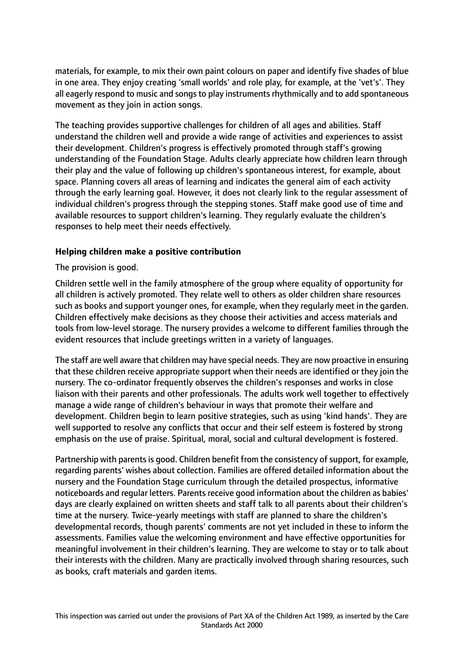materials, for example, to mix their own paint colours on paper and identify five shades of blue in one area. They enjoy creating 'small worlds' and role play, for example, at the 'vet's'. They all eagerly respond to music and songs to play instruments rhythmically and to add spontaneous movement as they join in action songs.

The teaching provides supportive challenges for children of all ages and abilities. Staff understand the children well and provide a wide range of activities and experiences to assist their development. Children's progress is effectively promoted through staff's growing understanding of the Foundation Stage. Adults clearly appreciate how children learn through their play and the value of following up children's spontaneous interest, for example, about space. Planning covers all areas of learning and indicates the general aim of each activity through the early learning goal. However, it does not clearly link to the regular assessment of individual children's progress through the stepping stones. Staff make good use of time and available resources to support children's learning. They regularly evaluate the children's responses to help meet their needs effectively.

## **Helping children make a positive contribution**

The provision is good.

Children settle well in the family atmosphere of the group where equality of opportunity for all children is actively promoted. They relate well to others as older children share resources such as books and support younger ones, for example, when they regularly meet in the garden. Children effectively make decisions as they choose their activities and access materials and tools from low-level storage. The nursery provides a welcome to different families through the evident resources that include greetings written in a variety of languages.

The staff are well aware that children may have special needs. They are now proactive in ensuring that these children receive appropriate support when their needs are identified or they join the nursery. The co-ordinator frequently observes the children's responses and works in close liaison with their parents and other professionals. The adults work well together to effectively manage a wide range of children's behaviour in ways that promote their welfare and development. Children begin to learn positive strategies, such as using 'kind hands'. They are well supported to resolve any conflicts that occur and their self esteem is fostered by strong emphasis on the use of praise. Spiritual, moral, social and cultural development is fostered.

Partnership with parents is good. Children benefit from the consistency of support, for example, regarding parents' wishes about collection. Families are offered detailed information about the nursery and the Foundation Stage curriculum through the detailed prospectus, informative noticeboards and regular letters. Parents receive good information about the children as babies' days are clearly explained on written sheets and staff talk to all parents about their children's time at the nursery. Twice-yearly meetings with staff are planned to share the children's developmental records, though parents' comments are not yet included in these to inform the assessments. Families value the welcoming environment and have effective opportunities for meaningful involvement in their children's learning. They are welcome to stay or to talk about their interests with the children. Many are practically involved through sharing resources, such as books, craft materials and garden items.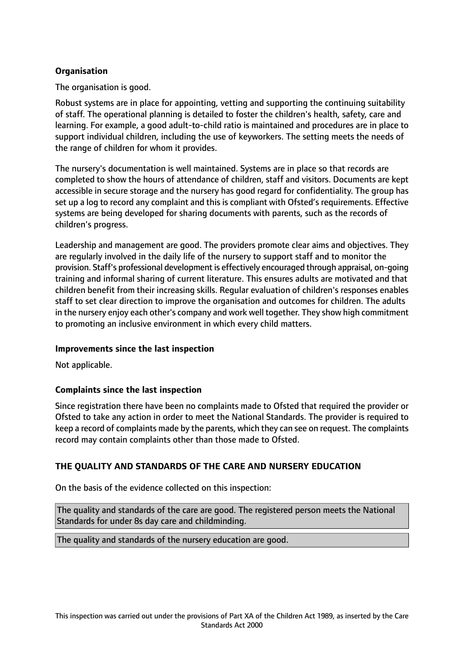# **Organisation**

The organisation is good.

Robust systems are in place for appointing, vetting and supporting the continuing suitability of staff. The operational planning is detailed to foster the children's health, safety, care and learning. For example, a good adult-to-child ratio is maintained and procedures are in place to support individual children, including the use of keyworkers. The setting meets the needs of the range of children for whom it provides.

The nursery's documentation is well maintained. Systems are in place so that records are completed to show the hours of attendance of children, staff and visitors. Documents are kept accessible in secure storage and the nursery has good regard for confidentiality. The group has set up a log to record any complaint and this is compliant with Ofsted's requirements. Effective systems are being developed for sharing documents with parents, such as the records of children's progress.

Leadership and management are good. The providers promote clear aims and objectives. They are regularly involved in the daily life of the nursery to support staff and to monitor the provision. Staff's professional development is effectively encouraged through appraisal, on-going training and informal sharing of current literature. This ensures adults are motivated and that children benefit from their increasing skills. Regular evaluation of children's responses enables staff to set clear direction to improve the organisation and outcomes for children. The adults in the nursery enjoy each other's company and work well together. They show high commitment to promoting an inclusive environment in which every child matters.

#### **Improvements since the last inspection**

Not applicable.

## **Complaints since the last inspection**

Since registration there have been no complaints made to Ofsted that required the provider or Ofsted to take any action in order to meet the National Standards. The provider is required to keep a record of complaints made by the parents, which they can see on request. The complaints record may contain complaints other than those made to Ofsted.

## **THE QUALITY AND STANDARDS OF THE CARE AND NURSERY EDUCATION**

On the basis of the evidence collected on this inspection:

The quality and standards of the care are good. The registered person meets the National Standards for under 8s day care and childminding.

The quality and standards of the nursery education are good.